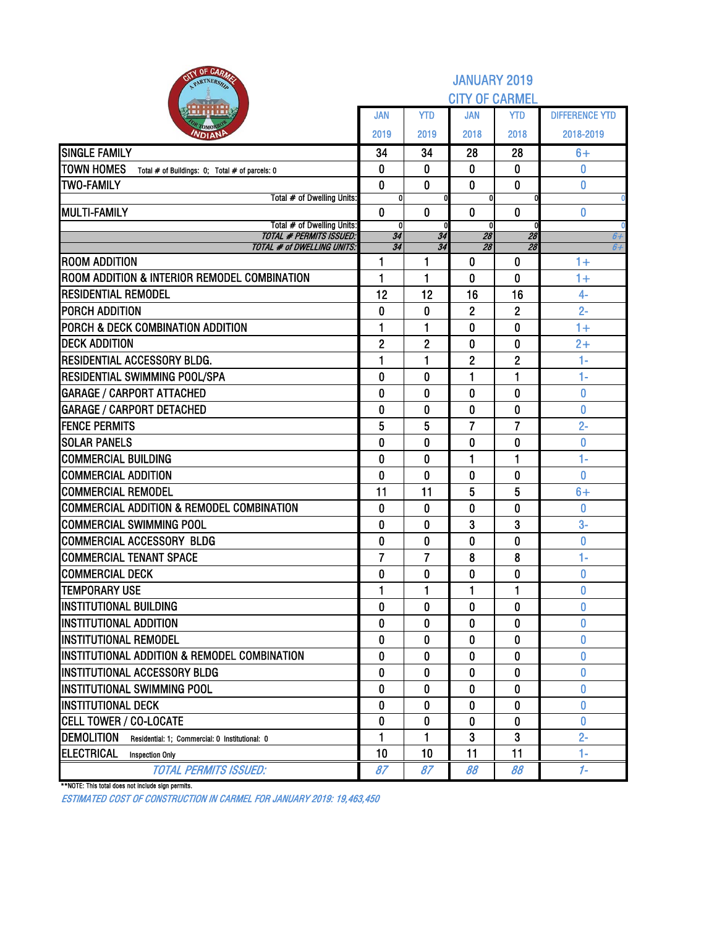| <b>NIV OF CARM</b><br>PARTNERSH                                     | <b>JANUARY 2019</b><br><b>CITY OF CARMEL</b> |                |                   |                |                       |  |  |  |  |  |  |
|---------------------------------------------------------------------|----------------------------------------------|----------------|-------------------|----------------|-----------------------|--|--|--|--|--|--|
|                                                                     | JAN                                          | <b>YTD</b>     | <b>JAN</b>        | <b>YTD</b>     | <b>DIFFERENCE YTD</b> |  |  |  |  |  |  |
| <b>NDIAN</b>                                                        | 2019                                         | 2019           | 2018              | 2018           | 2018-2019             |  |  |  |  |  |  |
| <b>SINGLE FAMILY</b>                                                | 34                                           | 34             | 28                | 28             | $6+$                  |  |  |  |  |  |  |
| <b>TOWN HOMES</b><br>Total # of Buildings: 0; Total # of parcels: 0 | 0                                            | 0              | 0                 | 0              | 0                     |  |  |  |  |  |  |
| <b>TWO-FAMILY</b>                                                   | $\bf{0}$                                     | $\bf{0}$       | 0                 | $\bf{0}$       | 0                     |  |  |  |  |  |  |
| Total # of Dwelling Units:                                          | 0                                            |                | 0                 |                |                       |  |  |  |  |  |  |
| <b>MULTI-FAMILY</b><br>Total # of Dwelling Units:                   | 0<br>0                                       | $\bf{0}$       | 0<br>$\mathbf{0}$ | 0              | 0                     |  |  |  |  |  |  |
| <b>TOTAL # PERMITS ISSUED:</b>                                      | 34                                           | 34             | 28                | 28             | 6+                    |  |  |  |  |  |  |
| <b>TOTAL # of DWELLING UNITS:</b>                                   | 34                                           | 34             | 28                | 28             | $6+$                  |  |  |  |  |  |  |
| <b>ROOM ADDITION</b>                                                | 1                                            | 1              | 0                 | $\mathbf{0}$   | $1+$                  |  |  |  |  |  |  |
| ROOM ADDITION & INTERIOR REMODEL COMBINATION                        | 1                                            | 1              | 0                 | 0              | $1+$                  |  |  |  |  |  |  |
| <b>RESIDENTIAL REMODEL</b>                                          | 12                                           | 12             | 16                | 16             | $4-$                  |  |  |  |  |  |  |
| <b>PORCH ADDITION</b>                                               | 0                                            | 0              | $\overline{2}$    | $\overline{2}$ | $2 -$                 |  |  |  |  |  |  |
| PORCH & DECK COMBINATION ADDITION                                   | 1                                            | 1              | 0                 | $\bf{0}$       | $1+$                  |  |  |  |  |  |  |
| <b>DECK ADDITION</b>                                                | $\mathbf{2}$                                 | $\overline{2}$ | 0                 | $\bf{0}$       | $2+$                  |  |  |  |  |  |  |
| RESIDENTIAL ACCESSORY BLDG.                                         | 1                                            | 1              | $\overline{2}$    | $\overline{2}$ | $1 -$                 |  |  |  |  |  |  |
| RESIDENTIAL SWIMMING POOL/SPA                                       | 0                                            | $\bf{0}$       | 1                 | 1              | $1 -$                 |  |  |  |  |  |  |
| <b>GARAGE / CARPORT ATTACHED</b>                                    | 0                                            | 0              | 0                 | 0              | 0                     |  |  |  |  |  |  |
| <b>GARAGE / CARPORT DETACHED</b>                                    | 0                                            | $\mathbf{0}$   | $\mathbf 0$       | $\bf{0}$       | $\overline{0}$        |  |  |  |  |  |  |
| <b>FENCE PERMITS</b>                                                | 5                                            | 5              | 7                 | 7              | $2 -$                 |  |  |  |  |  |  |
| <b>SOLAR PANELS</b>                                                 | 0                                            | 0              | 0                 | $\bf{0}$       | $\bf{0}$              |  |  |  |  |  |  |
| <b>COMMERCIAL BUILDING</b>                                          | 0                                            | $\bf{0}$       | 1                 | 1              | $1-$                  |  |  |  |  |  |  |
| <b>COMMERCIAL ADDITION</b>                                          | 0                                            | 0              | $\bf{0}$          | $\bf{0}$       | 0                     |  |  |  |  |  |  |
| <b>COMMERCIAL REMODEL</b>                                           | 11                                           | 11             | 5                 | 5              | $6+$                  |  |  |  |  |  |  |
| <b>COMMERCIAL ADDITION &amp; REMODEL COMBINATION</b>                | 0                                            | 0              | 0                 | $\bf{0}$       | 0                     |  |  |  |  |  |  |
| <b>COMMERCIAL SWIMMING POOL</b>                                     | 0                                            | 0              | 3                 | 3              | $3-$                  |  |  |  |  |  |  |
| <b>COMMERCIAL ACCESSORY BLDG</b>                                    | 0                                            | 0              | 0                 | $\mathbf{0}$   | $\bf{0}$              |  |  |  |  |  |  |
| <b>COMMERCIAL TENANT SPACE</b>                                      | 7                                            | 7              | 8                 | 8              | $1-$                  |  |  |  |  |  |  |
| <b>COMMERCIAL DECK</b>                                              | 0                                            | 0              | 0                 | $\bf{0}$       | 0                     |  |  |  |  |  |  |
| <b>TEMPORARY USE</b>                                                | 1                                            | 1              | 1                 | 1              | $\pmb{0}$             |  |  |  |  |  |  |
| <b>INSTITUTIONAL BUILDING</b>                                       | 0                                            | $\bf{0}$       | 0                 | $\bf{0}$       | 0                     |  |  |  |  |  |  |
| <b>INSTITUTIONAL ADDITION</b>                                       | 0                                            | 0              | 0                 | 0              | 0                     |  |  |  |  |  |  |
| <b>INSTITUTIONAL REMODEL</b>                                        | 0                                            | 0              | 0                 | $\bf{0}$       | 0                     |  |  |  |  |  |  |
| INSTITUTIONAL ADDITION & REMODEL COMBINATION                        | 0                                            | 0              | 0                 | $\bf{0}$       | 0                     |  |  |  |  |  |  |
| INSTITUTIONAL ACCESSORY BLDG                                        | 0                                            | 0              | 0                 | 0              | n                     |  |  |  |  |  |  |
| INSTITUTIONAL SWIMMING POOL                                         | 0                                            | 0              | 0                 | $\bf{0}$       | Ω                     |  |  |  |  |  |  |
| <b>INSTITUTIONAL DECK</b>                                           | $\bf{0}$                                     | 0              | 0                 | 0              | 0<br>0                |  |  |  |  |  |  |
| <b>CELL TOWER / CO-LOCATE</b><br><b>DEMOLITION</b>                  | $\bf{0}$<br>1                                | 0<br>1         | $\bf{0}$<br>3     | $\bf{0}$<br>3  | $2 -$                 |  |  |  |  |  |  |
| Residential: 1; Commercial: 0 Institutional: 0<br><b>ELECTRICAL</b> | 10                                           | 10             | 11                | 11             | $1 -$                 |  |  |  |  |  |  |
| <b>Inspection Only</b><br><b>TOTAL PERMITS ISSUED:</b>              | 87                                           | 87             | 88                | 88             | $1 -$                 |  |  |  |  |  |  |
|                                                                     |                                              |                |                   |                |                       |  |  |  |  |  |  |

\*\*NOTE: This total does not include sign permits.

ESTIMATED COST OF CONSTRUCTION IN CARMEL FOR JANUARY 2019: 19,463,450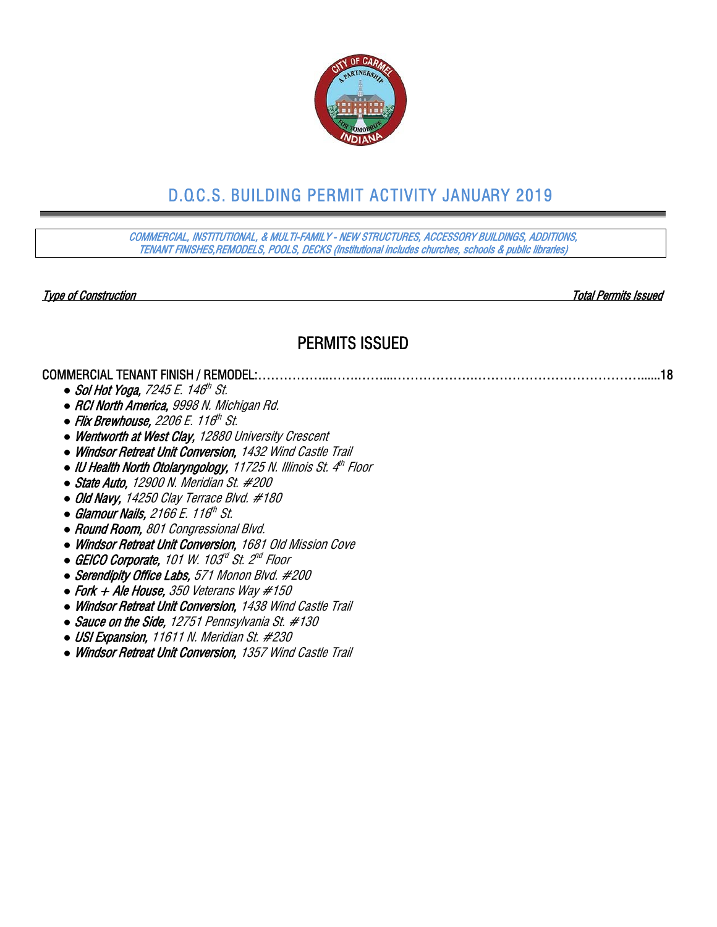

# D.O.C.S. BUILDING PERMIT ACTIVITY JANUARY 2019

COMMERCIAL, INSTITUTIONAL, & MULTI-FAMILY - NEW STRUCTURES, ACCESSORY BUILDINGS, ADDITIONS, TENANT FINISHES,REMODELS, POOLS, DECKS (Institutional includes churches, schools & public libraries)

Type of Construction Total Permits Issued

#### PERMITS ISSUED

COMMERCIAL TENANT FINISH / REMODEL:……………..…….……...……………….…………………………………......18

- *Sol Hot Yoga, 7245 E. 146<sup>th</sup> St.*
- *●* RCI North America, 9998 N. Michigan Rd.
- *Flix Brewhouse, 2206 E. 116<sup>th</sup> St.*
- *●* Wentworth at West Clay, 12880 University Crescent
- *●* Windsor Retreat Unit Conversion, 1432 Wind Castle Trail
- *●* IU Health North Otolaryngology, 11725 N. Illinois St. 4th Floor
- *●* State Auto, 12900 N. Meridian St. #200
- *●* Old Navy, 14250 Clay Terrace Blvd. #180
- *Glamour Nails, 2166 E. 116<sup>th</sup> St.*
- *●* Round Room, 801 Congressional Blvd.
- *●* Windsor Retreat Unit Conversion, 1681 Old Mission Cove
- GEICO Corporate, 101 W. 103<sup>d</sup> St. 2<sup>nd</sup> Floor
- *●* Serendipity Office Labs, 571 Monon Blvd. #200
- *●* Fork + Ale House, 350 Veterans Way #150
- *●* Windsor Retreat Unit Conversion, 1438 Wind Castle Trail
- *●* Sauce on the Side, 12751 Pennsylvania St. #130
- *●* USI Expansion, 11611 N. Meridian St. #230
- *●* Windsor Retreat Unit Conversion, 1357 Wind Castle Trail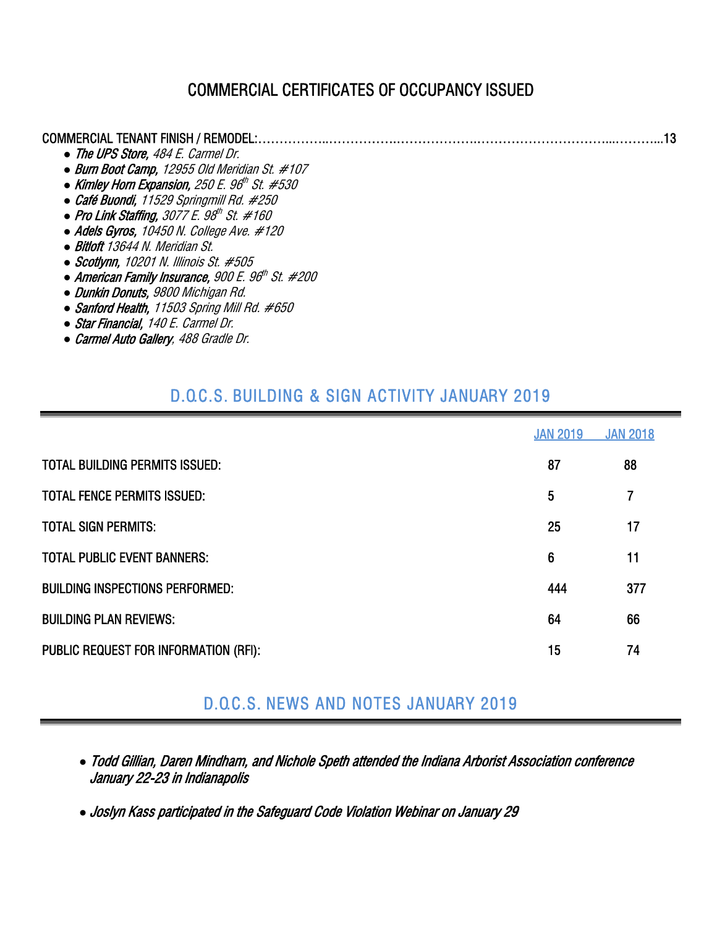### COMMERCIAL CERTIFICATES OF OCCUPANCY ISSUED

| • The UPS Store, 484 E. Carmel Dr.                  |  |
|-----------------------------------------------------|--|
| • Burn Boot Camp, 12955 Old Meridian St. #107       |  |
| • Kimley Horn Expansion, $250 E. 96th St. #530$     |  |
| • Café Buondi, 11529 Springmill Rd. #250            |  |
| • Pro Link Staffing, 3077 E. $98^{th}$ St. #160     |  |
| • Adels Gyros, 10450 N. College Ave. #120           |  |
| • Bitloft 13644 N. Meridian St.                     |  |
| $\bullet$ Scotlynn, 10201 N. Illinois St. #505      |  |
| • American Family Insurance, 900 E. $96th$ St. #200 |  |
| • Dunkin Donuts, 9800 Michigan Rd.                  |  |

- *●* Sanford Health, 11503 Spring Mill Rd. #650
- *●* Star Financial, 140 E. Carmel Dr.
- *●* Carmel Auto Gallery, 488 Gradle Dr.

# D.O.C.S. BUILDING & SIGN ACTIVITY JANUARY 2019

|                                        | <b>JAN 2019</b> | <b>JAN 2018</b> |
|----------------------------------------|-----------------|-----------------|
| <b>TOTAL BUILDING PERMITS ISSUED:</b>  | 87              | 88              |
| <b>TOTAL FENCE PERMITS ISSUED:</b>     | 5               | 7               |
| <b>TOTAL SIGN PERMITS:</b>             | 25              | 17              |
| <b>TOTAL PUBLIC EVENT BANNERS:</b>     | 6               | 11              |
| <b>BUILDING INSPECTIONS PERFORMED:</b> | 444             | 377             |
| <b>BUILDING PLAN REVIEWS:</b>          | 64              | 66              |
| PUBLIC REQUEST FOR INFORMATION (RFI):  | 15              | 74              |

# D.O.C.S. NEWS AND NOTES JANUARY 2019

- *●* Todd Gillian, Daren Mindham, and Nichole Speth attended the Indiana Arborist Association conference January 22-23 in Indianapolis
- *●* Joslyn Kass participated in the Safeguard Code Violation Webinar on January 29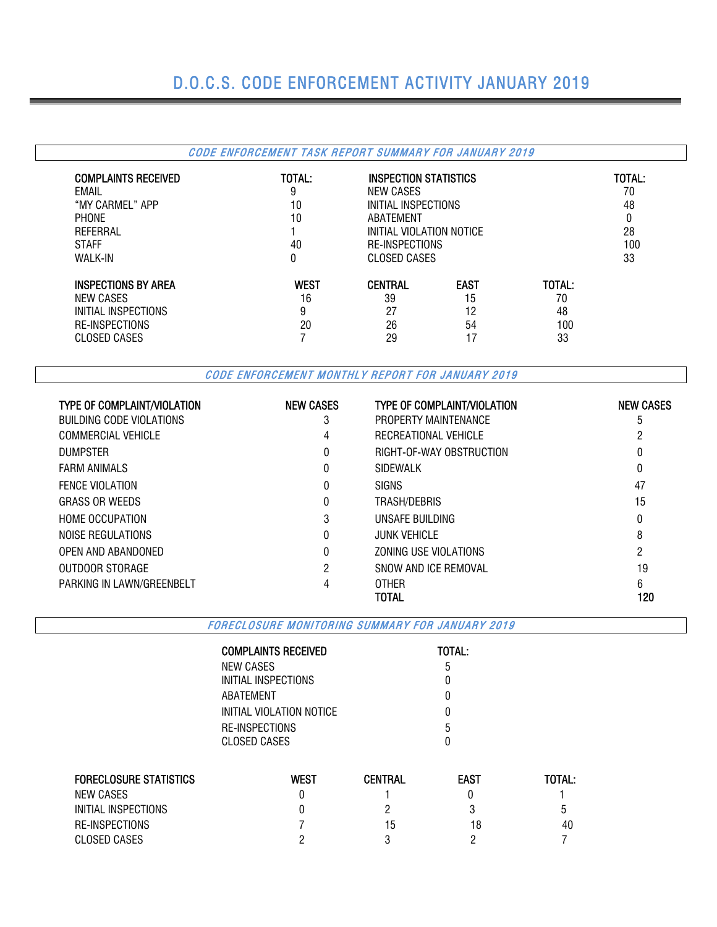### D.O.C.S. CODE ENFORCEMENT ACTIVITY JANUARY 2019

#### CODE ENFORCEMENT TASK REPORT SUMMARY FOR JANUARY 2019 COMPLAINTS RECEIVED TOTAL: INSPECTION STATISTICS TOTAL: EMAIL 9 NEW CASES 70 "MY CARMEL" APP 10 INITIAL INSPECTIONS 48 PHONE 10 ABATEMENT 0 REFERRAL 1 1 INITIAL VIOLATION NOTICE 28 STAFF 40 RE-INSPECTIONS 100 CLOSED CASES INSPECTIONS BY AREA WEST CENTRAL EAST TOTAL:<br>
NEW CASES TO TAL: 
NEW CASES 16 39 15 70 NEW CASES 16 39 15 70 INITIAL INSPECTIONS 0 3 27 12 48 RE-INSPECTIONS 20 26 54 100 CLOSED CASES 29 29 17 33

CODE ENFORCEMENT MONTHLY REPORT FOR JANUARY 2019

| <b>TYPE OF COMPLAINT/VIOLATION</b> | <b>NEW CASES</b> | <b>TYPE OF COMPLAINT/VIOLATION</b> | <b>NEW CASES</b> |
|------------------------------------|------------------|------------------------------------|------------------|
| <b>BUILDING CODE VIOLATIONS</b>    | 3                | PROPERTY MAINTENANCE               | ა                |
| COMMERCIAL VEHICLE                 | 4                | RECREATIONAL VEHICLE               |                  |
| <b>DUMPSTER</b>                    | 0                | RIGHT-OF-WAY OBSTRUCTION           | 0                |
| <b>FARM ANIMALS</b>                | 0                | <b>SIDEWALK</b>                    | 0                |
| <b>FENCE VIOLATION</b>             | 0                | <b>SIGNS</b>                       | 47               |
| <b>GRASS OR WEEDS</b>              | 0                | TRASH/DEBRIS                       | 15               |
| <b>HOME OCCUPATION</b>             | 3                | UNSAFE BUILDING                    | 0                |
| NOISE REGULATIONS                  | 0                | <b>JUNK VEHICLE</b>                | 8                |
| OPEN AND ABANDONED                 |                  | ZONING USE VIOLATIONS              | 2                |
| OUTDOOR STORAGE                    | 2                | SNOW AND ICF REMOVAL               | 19               |
| PARKING IN LAWN/GREENBELT          |                  | <b>OTHER</b>                       | 6                |
|                                    |                  | TOTAL                              | 120              |

FORECLOSURE MONITORING SUMMARY FOR JANUARY 2019

| <b>TOTAL:</b> |
|---------------|
| b             |
|               |
|               |
| O             |
| 5             |
|               |
|               |

| <b>FORECLOSURE STATISTICS</b> | West | <b>CENTRAL</b> | <b>EAST</b> | TOTAL: |
|-------------------------------|------|----------------|-------------|--------|
| NEW CASES                     |      |                |             |        |
| INITIAL INSPECTIONS           |      |                |             | b      |
| RE-INSPECTIONS                |      | 15             | 18          | 40     |
| CLOSED CASES                  |      |                |             |        |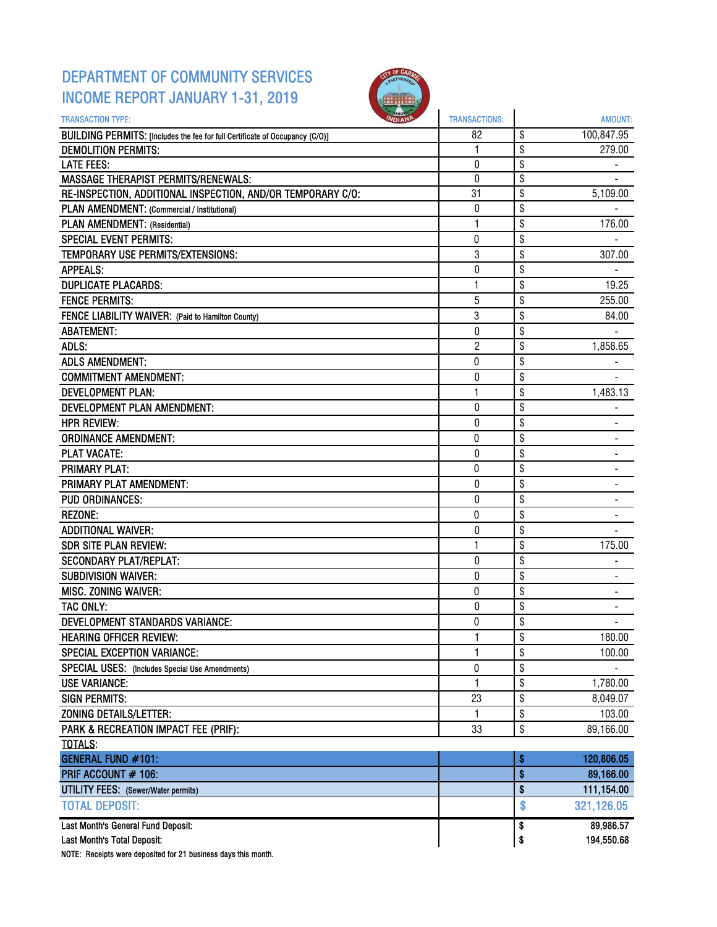### DEPARTMENT OF COMMUNITY SERVICES INCOME REPORT JANUARY 1-31, 2019



| <b>TRANSACTION TYPE:</b>                                                     | <b>TRANSACTIONS:</b> |          | <b>AMOUNT:</b>          |
|------------------------------------------------------------------------------|----------------------|----------|-------------------------|
| BUILDING PERMITS: [Includes the fee for full Certificate of Occupancy (C/O)] | 82                   | \$       | 100,847.95              |
| <b>DEMOLITION PERMITS:</b>                                                   | 1                    | \$       | 279.00                  |
| <b>LATE FEES:</b>                                                            | 0                    | \$       |                         |
| <b>MASSAGE THERAPIST PERMITS/RENEWALS:</b>                                   | 0                    | \$       |                         |
| RE-INSPECTION, ADDITIONAL INSPECTION, AND/OR TEMPORARY C/O:                  | 31                   | \$       | 5,109.00                |
| PLAN AMENDMENT: (Commercial / Institutional)                                 | 0                    | \$       |                         |
| PLAN AMENDMENT: (Residential)                                                | 1                    | \$       | 176.00                  |
| <b>SPECIAL EVENT PERMITS:</b>                                                | $\bf{0}$             | \$       |                         |
| TEMPORARY USE PERMITS/EXTENSIONS:                                            | 3                    | \$       | 307.00                  |
| <b>APPEALS:</b>                                                              | 0                    | \$       |                         |
| <b>DUPLICATE PLACARDS:</b>                                                   | $\mathbf{1}$         | \$       | 19.25                   |
| <b>FENCE PERMITS:</b>                                                        | 5                    | \$       | 255.00                  |
| FENCE LIABILITY WAIVER: (Paid to Hamilton County)                            | 3                    | \$       | 84.00                   |
| <b>ABATEMENT:</b>                                                            | 0                    | \$       |                         |
| ADLS:                                                                        | $\overline{2}$       | \$       | 1,858.65                |
| <b>ADLS AMENDMENT:</b>                                                       | 0                    | \$       |                         |
| <b>COMMITMENT AMENDMENT:</b>                                                 | 0                    | \$       |                         |
| <b>DEVELOPMENT PLAN:</b>                                                     | 1                    | \$       | 1,483.13                |
| DEVELOPMENT PLAN AMENDMENT:                                                  | 0                    | \$       |                         |
| <b>HPR REVIEW:</b>                                                           | 0                    | \$       |                         |
| <b>ORDINANCE AMENDMENT:</b>                                                  | 0                    | \$       |                         |
| <b>PLAT VACATE:</b>                                                          | 0                    | \$       |                         |
| <b>PRIMARY PLAT:</b>                                                         | 0                    | \$       |                         |
| PRIMARY PLAT AMENDMENT:                                                      | 0                    | \$       |                         |
| <b>PUD ORDINANCES:</b>                                                       | 0                    | \$       |                         |
| <b>REZONE:</b>                                                               | 0                    | \$       |                         |
| <b>ADDITIONAL WAIVER:</b>                                                    | 0                    | \$       |                         |
| <b>SDR SITE PLAN REVIEW:</b>                                                 | 1                    | \$       | 175.00                  |
| <b>SECONDARY PLAT/REPLAT:</b>                                                | 0                    | \$       | ٠                       |
| <b>SUBDIVISION WAIVER:</b>                                                   | 0                    | \$       |                         |
| MISC. ZONING WAIVER:                                                         | 0                    | \$       |                         |
| TAC ONLY:                                                                    | 0                    | \$       |                         |
| DEVELOPMENT STANDARDS VARIANCE:                                              | $\bf{0}$             | \$       |                         |
| <b>HEARING OFFICER REVIEW:</b>                                               |                      | \$       | 180.00                  |
| <b>SPECIAL EXCEPTION VARIANCE:</b>                                           | 1                    | \$       | 100.00                  |
| SPECIAL USES: (Includes Special Use Amendments)                              | 0                    | \$       |                         |
| <b>USE VARIANCE:</b>                                                         | $\mathbf{1}$         | \$       | 1,780.00                |
| <b>SIGN PERMITS:</b>                                                         | 23                   | \$       | 8,049.07                |
| <b>ZONING DETAILS/LETTER:</b>                                                | 1                    | \$       | 103.00                  |
| PARK & RECREATION IMPACT FEE (PRIF):                                         | 33                   | \$       | 89,166.00               |
| TOTALS:                                                                      |                      |          |                         |
| <b>GENERAL FUND #101:</b>                                                    |                      | \$       | 120,806.05              |
| PRIF ACCOUNT # 106:                                                          |                      | \$       | 89,166.00               |
| UTILITY FEES: (Sewer/Water permits)                                          |                      | \$       | 111,154.00              |
| <b>TOTAL DEPOSIT:</b>                                                        |                      | \$       | 321,126.05              |
|                                                                              |                      |          |                         |
| Last Month's General Fund Deposit:<br>Last Month's Total Deposit:            |                      | \$<br>\$ | 89,986.57<br>194,550.68 |
|                                                                              |                      |          |                         |

NOTE: Receipts were deposited for 21 business days this month.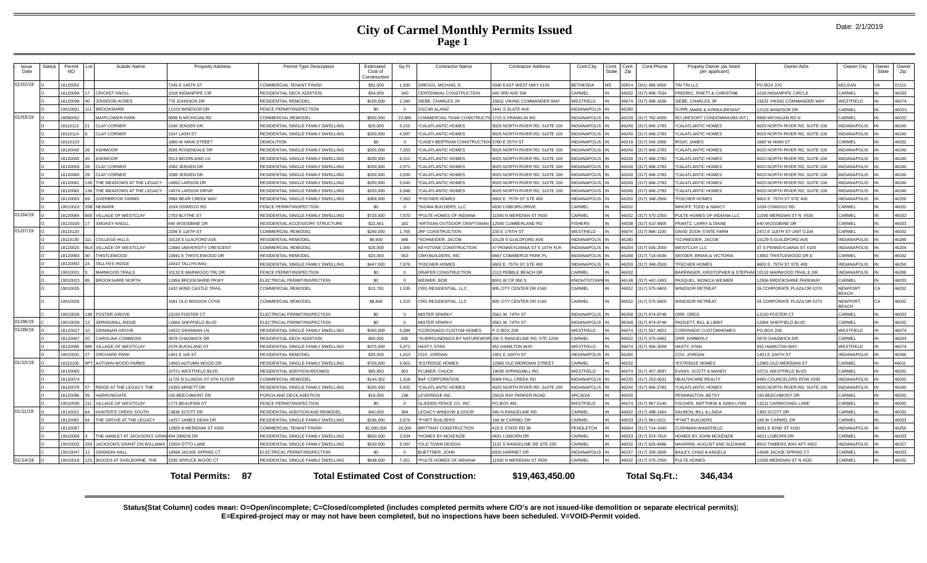#### **City of Carmel Monthly Permits Issued Page 1**

| <b>Status</b><br>Permit<br>NO. | Subdiv Name                                 | <b>Property Address</b>       | Permit Type Description            | Estimated<br>Cost of<br>Construction | Sq Ft          | <b>Contractor Name</b>                                  | <b>Contractor Address</b>      | Cont.City              | State | Cont. Cont.<br>Zip | Cont.Phone     | Propety Owner (as listed<br>per applicant)               | Owner Adrs                     | Owner City              | Owner Owner<br>State | Zip   |
|--------------------------------|---------------------------------------------|-------------------------------|------------------------------------|--------------------------------------|----------------|---------------------------------------------------------|--------------------------------|------------------------|-------|--------------------|----------------|----------------------------------------------------------|--------------------------------|-------------------------|----------------------|-------|
| 18120002                       |                                             | 7245 E 146TH ST               | COMMERCIAL TENANT FINISH           | \$91,500                             | 1,830          | GREIGG, MICHAEL D.                                      | 4340 EAST WEST HWY #105        | <b>BETHESDA</b>        | MD    | 20814              | (301) 986-9300 | TIN TIN LLC                                              | PO BOX 370                     | MCLEAN                  |                      | 22101 |
| 18120094                       | <b>CRICKET KNOLI</b>                        | 018 INDIANPIPE CIR            | RESIDENTIAL DECK ADDITION          | \$54.000                             | 540            | CENTENNIAL CONSTRUCTION                                 | 940 3RD AVE SW                 | CARMEL                 |       | <b>CENA1</b>       | 317) 848-7634  | FREDRIC, RHETT & CHRISTINE                               | 1018 INDIANPIPE CIRCLE         | ARMEL                   |                      | 46033 |
| 18120098                       | <b>JOHNSON ACRES</b>                        | 776 JOHNSON DR                | RESIDENTIAL REMODEL                | \$100,000                            | 2.340          | SIEBE, CHARLES JR                                       | 15631 VIKING COMMANDER WAY     | WESTFIELD              |       | 46074              | (317) 698-1636 | SIEBE, CHARLES JR                                        | 15631 VIKING COMMANDER WAY     | <b>NESTFIELD</b>        |                      | 46074 |
| 19010001                       | <b>BROOKSHIRE</b>                           | 12103 WINDSOR DR              | FENCE PERMIT/INSPECTION            | \$0                                  | $\overline{0}$ | <b>OSCAR ALANIZ</b>                                     | 1441 S SLATE AVE               | <b>INDIANAPOLIS</b>    |       | 16280              |                | GUNN, MARK & AYRIKA BRYANT                               | 12103 WINDSOR DR               | CARMEL                  |                      | 46033 |
| 18080052                       | <b>MAYFLOWER PARK</b>                       | 9998 N MICHIGAN RD            | COMMERCIAL REMODEL                 | \$500,000                            | 22,880         | COMMERCIAL TEAM CONSTRUCTIC 1715 S FRANKLIN RD          |                                | NDIANAPOLIS            |       | 46239              | (317) 782-8300 | RCI (RESORT CONDOMINIUMS INT.)                           | 9998 MICHIGAN RD N             | CARMEL                  |                      | 46032 |
| 18110113                       | <b>CLAY CORNER</b>                          | 540 JENSEN DR                 | RESIDENTIAL SINGLE FAMILY DWELLING | \$20,000                             | 5.315          | *CALATLANTIC HOMES                                      | 9025 NORTH RIVER RD, SUITE 100 | <b>INDIANAPOLIS</b> IN |       | 46240              | (317) 846-2783 | *CALATLANTIC HOMES                                       | 025 NORTH RIVER RD, SUITE 100  | <b>NDIANAPOLIS</b>      |                      | 46240 |
| 18110114                       | <b>CLAY CORNER</b>                          | 1547 LASH ST                  | RESIDENTIAL SINGLE FAMILY DWELLING | \$200,000                            | 4.997          | *CALATLANTIC HOMES                                      | 9025 NORTH RIVER RD, SUITE 100 | INDIANAPOLIS           |       | 46240              | (317) 846-2783 | *CALATLANTIC HOMES                                       | 9025 NORTH RIVER RD, SUITE 100 | <b>NDIANAPOLIS</b>      |                      | 46240 |
| 18110123                       |                                             | 680 W MAIN STREET             | DEMOLITION                         | SO.                                  | $\Omega$       | *CASEY-BERTRAM CONSTRUCTION 5780 E 25TH ST              |                                | NDIANAPOLIS            |       | 46218              | 317) 546-3366  | <b>IRSAY, JAMES</b>                                      | 1680 W MAIN ST                 | <b>ARMEL</b>            |                      | 46032 |
| 18120042                       | <b>ASHMOOR</b>                              | 3565 ROSENDALE DR             | RESIDENTIAL SINGLE FAMILY DWELLING | \$200,000                            | 7,253          | *CALATLANTIC HOMES                                      | 9025 NORTH RIVER RD, SUITE 100 | <b>NDIANAPOLIS</b>     |       | 46240              | (317) 846-2783 | *CALATLANTIC HOMES                                       | 9025 NORTH RIVER RD, SUITE 100 | <b>NDIANAPOLIS</b>      |                      | 46240 |
| 8120043                        | <b>ASHMOOR</b>                              | 3513 MOORLAND LN              | RESIDENTIAL SINGLE FAMILY DWELLING | \$200,000                            | 6,312          | 'CALATLANTIC HOMES                                      | 9025 NORTH RIVER RD, SUITE 100 | NDIANAPOLIS            |       | 46240              | 317) 846-2783  | *CALATLANTIC HOMES                                       | 9025 NORTH RIVER RD, SUITE 100 | <b>NDIANAPOLIS</b>      |                      | 46240 |
| 8120059                        | <b>CLAY CORNER</b>                          | 582 JENSEN DR                 | RESIDENTIAL SINGLE FAMILY DWELLING | \$200,000                            | 2.971          | *CALATLANTIC HOMES                                      | 9025 NORTH RIVER RD, SUITE 100 | <b>NDIANAPOLIS</b>     |       | 16240              | (317) 846-2783 | *CALATLANTIC HOMES                                       | 0025 NORTH RIVER RD, SUITE 100 | NDIANAPOLIS             |                      | 46240 |
| 8120060                        | <b>CLAY CORNER</b>                          | 588 JENSEN DR                 | RESIDENTIAL SINGLE FAMILY DWELLING | \$200,000                            | 3,835          | *CALATLANTIC HOMES                                      | 9025 NORTH RIVER RD, SUITE 100 | NDIANAPOLIS IN         |       | 46240              | (317) 846-2783 | *CALATLANTIC HOMES                                       | 9025 NORTH RIVER RD, SUITE 100 | NDIANAPOLIS             |                      | 46240 |
| 18120061                       | THE MEADOWS AT THE LEGACY                   | 14062 LARSON DR               | RESIDENTIAL SINGLE FAMILY DWELLING | \$200,000                            | 5,640          | *CALATLANTIC HOMES                                      | 9025 NORTH RIVER RD, SUITE 100 | NDIANAPOLIS IN         |       | 46240              | (317) 846-2783 | *CALATLANTIC HOMES                                       | 0025 NORTH RIVER RD, SUITE 100 | NDIANAPOLIS             |                      | 46240 |
| 18120062                       | 6 THE MEADOWS AT THE LEGACY                 | 14074 LARSON DRIVE            | RESIDENTIAL SINGLE FAMILY DWELLING | \$200,000                            | 5.848          | *CALATLANTIC HOMES                                      | 9025 NORTH RIVER RD, SUITE 100 | NDIANAPOLIS IN         |       | 46240              | (317) 846-2783 | *CALATLANTIC HOMES                                       | 025 NORTH RIVER RD, SUITE 100  | NDIANAPOLIS             |                      | 46240 |
| 18120093                       | <b>OVERBROOK FARMS</b>                      | 3984 BEAR CREEK WAY           | RESIDENTIAL SINGLE FAMILY DWELLING | \$368,000                            | 7.063          | *FISCHER HOMES                                          | 6602 E. 75TH ST STE 400        | NDIANAPOLIS            |       | 46250              | (317) 348-2500 | *FISCHER HOMES                                           | 6602 E. 75TH ST STE 400        | <b>NDIANAPOLIS</b>      |                      | 46250 |
| 19010010                       | <b>B NEWARK</b>                             | 1034 OSWEGO RD                | FENCE PERMIT/INSPECTION            | \$0                                  | $\Omega$       | *SIGMA BUILDERS, LLC                                    | 4630 LISBORN DRIVE             | ARMEI                  |       | 6032               |                | IMHOFF, TODD & NANCY                                     | 1034 OSWEGO RD                 | <b>ARMEL</b>            |                      | 46032 |
| 18120064                       | <b>VILLAGE OF WESTCLAY</b>                  | 1703 BLYTHE ST                | RESIDENTIAL SINGLE FAMILY DWELLING | \$720,000                            | 7.870          | *PULTE HOMES OF INDIANA                                 | 1590 N MERIDIAN ST #530        | CARMEL                 |       | 6032               | (317) 575-2350 | PULTE HOMES OF INDIANA LLC                               | 1590 MERIDIAN ST N #530        | CARMEL                  |                      | 46032 |
| 18120100                       | <b>SMOKEY KNOLL</b>                         | 640 WOODBINE DR               | RESIDENTIAL ACCESSORY STRUCTURE    | \$22.561                             | 182            | ARTISAN OUTDOOR CRAFTSMAN                               | 12595 CUMBERLAND RD            | <b>ISHERS</b>          |       | 6038               | 317) 610-9905  | FRANTZ, LARRY & DIANE                                    | 640 WOODBINE DR                | ARMEL                   |                      | 46033 |
| 18110120                       |                                             | 2206 E 116TH ST               | COMMERCIAL REMODEL                 | \$240,000                            | 1.765          | JRF CONSTRUCTION                                        | 233 E 175TH ST                 | WESTFIELD              |       | 46074              | 317) 896-1100  | DAVID ZOOK STATE FARM                                    | 2472 E 116TH ST UNIT G104      | CARMEL                  |                      | 46032 |
| 18110130                       | 1 COLLEGE HILLS                             | 10129 S GUILFORD AVE          | RESIDENTIAL REMODEL                | \$6,500                              | 846            | 'SCHNEIDER, JACOB                                       | 0129 S GUILDFORD AVE           | <b>NDIANAPOLIS</b>     |       | 6280               |                | <b>SCHNEIDER, JACOB</b>                                  | 10129 S GUILDFORD AVE          | NDIANAPOLIS             |                      | 46280 |
| 18120025                       | K VILLAGE OF WESTCLAY                       | 12880 UNIVERSITY CRESCENT     | COMMERCIAL REMODEL                 | \$20,000                             | 1.000          | <b>KEYSTONE CONSTRUCTION</b>                            | 47 PENNSYLVANIA ST S 10TH FLR  | <b>NDIANAPOLIS</b>     |       | 16204              | (317) 636-2000 | <b>WESTCLAY LLC</b>                                      | 47 S PENNSYLVANIA ST #100      | <b>NDIANAPOLIS</b>      |                      | 46204 |
| 18120083                       | <b>THISTLEWOOD</b>                          | 13691 E THISTLEWOOD DR        | RESIDENTIAL REMODEL                | \$20.083                             | 563            | CMH BUILDERS, INC                                       | 8847 COMMERCE PARK PL          | <b>NDIANAPOLIS</b>     |       | 16268              | (317) 714-6536 | SNYDER, BRIAN & VICTORIA                                 | 3691 THISTLEWOOD DR E          | CARMEL                  |                      | 46032 |
| 18120092                       | <b>TALLYN'S RIDGE</b>                       | 14410 TALLYN WAY              | RESIDENTIAL SINGLE FAMILY DWELLING | \$447,000                            | 7.876          | *FISCHER HOMES                                          | 6602 E. 75TH ST STE 400        | <b>INDIANAPOLIS</b>    |       | 46250              | 317) 348-2500  | *FISCHER HOMES                                           | 6602 E. 75TH ST STE 400        | <b>NDIANAPOLIS</b>      |                      | 46250 |
| 19010021                       | MARWOOD TRAILS                              | 10132 E MARWOOD TRL DR        | FENCE PERMIT/INSPECTION            | \$0                                  | $\Omega$       | DRAPER CONSTRUCTION                                     | 2113 PEBBLE BEACH DR           | CARMEL                 |       | 16032              |                | BARRINGER, KRISTOPHER & STEPHAN 10132 MARWOOD TRAIL E DR |                                | NDIANAPOLIS             |                      | 46280 |
| 19010023                       | <b>BROOKSHIRE NORTH</b>                     | 12956 BROOKSHIRE PKWY         | ELECTRICAL PERMIT/INSPECTION       | \$0                                  | $\Omega$       | <b>WEIMER, BOB</b>                                      | 8001 W CR 850 S                | KNIGHTSTOWI            |       | 16148              | 317) 442-2493  | PASQUEL, MONICA WEIMER                                   | 2956 BROOKSHIRE PARKWAY        | <b>CARMEL</b>           |                      | 46033 |
| 19010025                       |                                             | 432 WIND CASTLE TRAIL         | COMMERCIAL REMODEL                 | \$12,791                             | 1,535          | CRG RESIDENTIAL, LLC                                    | 805 CITY CENTER DR #160        | CARMEL                 |       | 46032              | (317) 575-9400 | WINDSOR RETREAT                                          | 26 CORPORATE PLAZA DR #270     | NEWPORT<br><b>BEACH</b> |                      | 46032 |
| 19010026                       |                                             | 1681 OLD MISSION COVE         | COMMERCIAL REMODEL                 | \$8,846                              | 1,010          | CRG RESIDENTIAL, LLC                                    | 805 CITY CENTER DR #160        | CARMEL                 |       | 46032              | 317) 575-9400  | WINDSOR RETREAT                                          | 26 CORPORATE PLAZA DR #270     | NEWPORT<br><b>BEACH</b> |                      | 46032 |
| 19010028                       | <b>FOSTER GROVE</b>                         | 13150 FOSTER CT               | ELECTRICAL PERMIT/INSPECTION       | \$0                                  | $\Omega$       | <b>MISTER SPARKY</b>                                    | 5561 W. 74TH ST                | <b>NDIANAPOLIS</b>     |       | 16268              | (317) 874-8748 | ORR. GREG                                                | 13150 FOSTER CT                | <b>ARMEL</b>            |                      | 46033 |
| 19010029                       | <b>SPRINGMILL RIDGE</b>                     | 12864 SHEFFIELD BLVD          | ELECTRICAL PERMIT/INSPECTION       | \$0                                  | $\Omega$       | <b>MISTER SPARKY</b>                                    | 5561 W. 74TH ST                | <b>INDIANAPOLIS</b>    |       | 46268              | (317) 874-8748 | PADGETT, BILL & LIBBY                                    | 12864 SHEFFIELD BLVD           | CARMEL                  |                      | 46032 |
| 18120027                       | <b>GRANNAN GROVE</b>                        | 4022 GRANNAN LN               | RESIDENTIAL SINGLE FAMILY DWELLING | \$340,000                            | 5,084          | *CORONADO CUSTOM HOMES                                  | P O BOX 209                    | WESTFIELD              |       | 46074              | (317) 557-4922 | CORONADO CUSTOMHOMES                                     | PO BOX 209                     | <b>NESTFIELD</b>        |                      | 46074 |
| 18120067                       | <b>CAROLINA COMMONS</b>                     | 3978 CHADWICK DR              | RESIDENTIAL DECK ADDITION          | \$60,000                             | 630            | *SURROUNDINGS BY NATUREWOR 200 S RANGELINE RD, STE 120A |                                | CARMEL                 |       | 16032              | (317) 575-0482 | ORR, KIMBERLY                                            | 3978 CHADWICK DR               | <b>CARMEL</b>           |                      | 46033 |
| 18120095                       | VILLAGE OF WESTCLAY                         | 2576 BUCKLAND ST              | RESIDENTIAL SINGLE FAMILY DWELLING | \$375,000                            | 5,472          | HASTY, STAN                                             | <b>952 HAMILTON WAY</b>        | <b>NESTFIELD</b>       |       | 16074              | (317) 946-3059 | HASTY, STAN                                              | 952 HAMILTON WAY               | <b>NESTFIELD</b>        |                      | 46074 |
| 19010031                       | ORCHARD PARK                                | 401 E 106 ST                  | RESIDENTIAL REMODEL                | \$35,000                             | 1,813          | COX, JORDAN                                             | 1401 E 106TH ST                | <b>INDIANAPOLIS</b>    |       | 16280              |                | COX, JORDAN                                              | 1401 E 106TH ST                | NDIANAPOLIS             |                      | 46280 |
| 18110105                       | AUTUMN WOOD FARMS                           | 4563 AUTUMN WOOD DR           | RESIDENTIAL SINGLE FAMILY DWELLING | \$709,000                            | 5,602          | *ESTRIDGE HOMES                                         | 12965 OLD MERIDIAN STREET      | CARMEL                 |       | 16032              |                | <b>*ESTRIDGE HOMES</b>                                   | <b>2965 OLD MERIDIAN ST</b>    | CARMEL                  |                      | 46011 |
| 8120065                        |                                             | 10721 WESTFIELD BLVD          | RESIDENTIAL ADDITION-ROOM(S)       | \$95,850                             | 802            | PLUMER, CHUCK                                           | 19030 SPRINGMILL RD            | <b>NESTFIELD</b>       |       | 46074              | (317) 407-3597 | EVANS, SCOTT & MANDY                                     | 10721 WESTFIELD BLVD           | CARMEL                  |                      | 46032 |
| 18120074                       |                                             | 11725 N ILLINOIS ST 4TH FLOOR | COMMERCIAL REMODEL                 | \$144,352                            | 1.918          | <b>BAF CORPORATION</b>                                  | 6084 FALL CREEK RD             | <b>NDIANAPOLIS</b>     |       | 16220              | (317) 253-0531 | HEALTHCARE REALTY                                        | 9465 COUNCELORS ROW #200       | <b>NDIANAPOLIS</b>      |                      | 46032 |
| 8120078                        | RIDGE AT THE LEGACY, THE                    | 14350 ARNETT DR               | RESIDENTIAL SINGLE FAMILY DWELLING | \$200,000                            | 5,832          | *CALATLANTIC HOMES                                      | 9025 NORTH RIVER RD, SUITE 100 | INDIANAPOLIS IN        |       | 46240              | (317) 846-2783 | *CALATLANTIC HOMES                                       | 9025 NORTH RIVER RD, SUITE 100 | <b>NDIANAPOLIS</b>      |                      | 46240 |
| 18120096                       | <b>HARROWGATE</b>                           | 150 BEECHMONT DR              | PORCH AND DECK ADDITION            | \$16,000                             | 196            | LEVERIDGE INC.                                          | 25015 RAY PARKER ROAD          | <b>RCADIA</b>          |       | 16030              |                | PENNINGTON, BETSY                                        | 150 BEECHMONT DR               | <b>CARMEL</b>           |                      | 46032 |
| 19010039                       | VILLAGE OF WESTCLAY                         | 1773 BEAUFAIN ST              | FENCE PERMIT/INSPECTION            | \$0                                  | $\Omega$       | GLIDDEN FENCE CO, INC                                   | PO BOX 481                     | WESTFIELD              |       | 16074              | (317) 867-5140 | FISCHER, MATTHEW & SARA LYNN                             | 13211 CARMICHAEL LANE          | CARMEL                  |                      | 46032 |
| 18120021                       | HUNTER'S CREEK SOUTH                        | 3836 SCOTT DR                 | RESIDENTIAL ADDITION AND REMODEL   | \$40,000                             | 384            | <b>LEGACY WINDOW &amp; DOOR</b>                         | 540 N RANGELINE RD             | CARMEL                 |       | <b>6032</b>        | (317) 488-1464 | SALMON, BILL & LINDA                                     | 383 SCOTT DR                   | ARMEL                   |                      | 46032 |
| 18120081                       | THE GROVE AT THE LEGACY                     | 14257 JAMES DEAN DR           | RESIDENTIAL SINGLE FAMILY DWELLING | \$196,000                            | 2.676          | *PYATT BUILDERS                                         | 168 W CARMEL DR                | <b>ARMEL</b>           |       | 8033               | (317) 981-0211 | *PYATT BUILDERS                                          | 68 W CARMEL DR                 | ARMEI                   |                      | 46033 |
| 18120087                       |                                             | 12900 N MERIDIAN ST #200      | COMMERCIAL TENANT FINISH           | \$1,000,000                          | 26,000         | <b>BRITTANY CONSTRUCTION</b>                            | 423 E STATE RD 38              | <b>PENDLETON</b>       |       | 16064              | (317) 714-1640 | CUSHMAN WAKEFIELD                                        | 6081 E 82ND ST #100            | NDIANAPOLIS             |                      | 46250 |
| 19010009                       | THE HAMLET AT JACKSON'S GRAN 494 SIMON DR   |                               | RESIDENTIAL SINGLE FAMILY DWELLING | \$650,000                            | 3.934          | *HOMES BY MCKENZIE                                      | 4631 LISBORN DR                | <b>ARMEL</b>           |       | <b>22081</b>       | (317) 574-7616 | HOMES BY JOHN MCKENZIE                                   | <b>1631 LISBORN DR</b>         | ARMEL                   |                      | 46033 |
| 19010032                       | JACKSON'S GRANT ON WILLIAMS 12004 OTTO LANE |                               | RESIDENTIAL SINGLE FAMILY DWELLING | \$530,000                            | 5.097          | *OLD TOWN DESIGN                                        | 1132 S RANGELINE RD STE 200    | CARMEL                 |       | 16032              | (317) 626-8486 | NAVARRA, AUGUST AND SUZANNE                              | 8810 TIMBERS WAY APT #822      | <b>NDIANAPOLIS</b>      |                      | 46327 |
| 19010047                       | <b>GRANDIN HALL</b>                         | 4568 JACKIE SPRING CT         | ELECTRICAL PERMIT/INSPECTION       | \$0                                  | $\Omega$       | <b>BUETTNER, JOHN</b>                                   | <b>920 HARRIET DR</b>          | <b>NDIANAPOLIS</b>     |       | 16237              | (317) 339-2605 | BAILEY, CHAD & ANGELA                                    | 4568 JACKIE SPRING CT          | CARMEL                  |                      | 46033 |
| 19010018                       | WOODS AT SHELBORNE, THE                     | 3330 SPRUCE WOOD CT           | RESIDENTIAL SINGLE FAMILY DWELLING | \$648,000                            | 7,351          | *PULTE HOMES OF INDIANA                                 | 11590 N MERIDIAN ST #530       | CARMEL                 |       | 16032              | (317) 575-2350 | PULTE HOMES                                              | 11590 MERIDIAN ST N #530       | CARMEL                  |                      | 46032 |

--Issue Date

01/02/19

01/03/19

01/04/19

01/07/19

01/08/19

01/09/19

01/10/19

01/11/19

01/14/19

**Total Permits: Total Estimated Cost of Construction: \$19,463,450.00 87 Total Sq.Ft.: 346,434**

**Status(Stat Column) codes mean: O=Open/incomplete; C=Closed/completed (includes completed permits where C/O's are not issued-like demolition or separate electrical permits); E=Expired-project may or may not have been completed, but no inspections have been scheduled. V=VOID-Permit voided.**